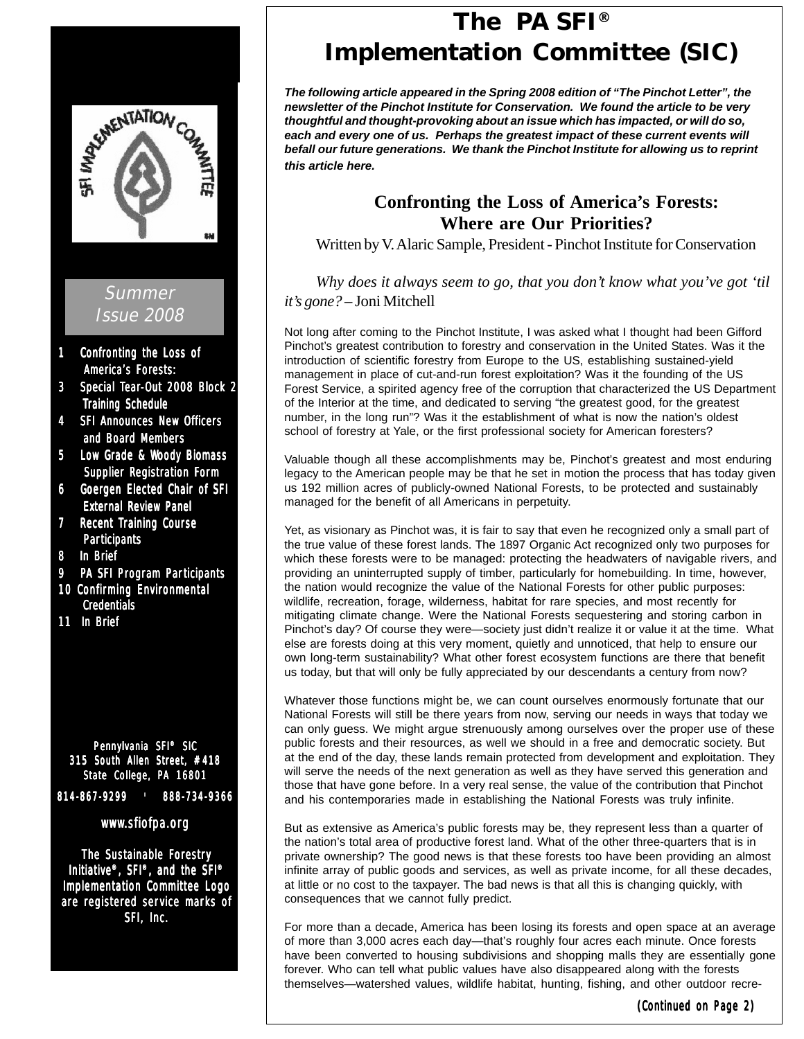

SFI, Inc.

# **The PA SFI® Implementation Committee (SIC)**

*The following article appeared in the Spring 2008 edition of "The Pinchot Letter", the newsletter of the Pinchot Institute for Conservation. We found the article to be very thoughtful and thought-provoking about an issue which has impacted, or will do so, each and every one of us. Perhaps the greatest impact of these current events will befall our future generations. We thank the Pinchot Institute for allowing us to reprint this article here.*

## **Confronting the Loss of America's Forests: Where are Our Priorities?**

Written by V. Alaric Sample, President - Pinchot Institute for Conservation

*Why does it always seem to go, that you don't know what you've got 'til it's gone?* – Joni Mitchell

Not long after coming to the Pinchot Institute, I was asked what I thought had been Gifford Pinchot's greatest contribution to forestry and conservation in the United States. Was it the introduction of scientific forestry from Europe to the US, establishing sustained-yield management in place of cut-and-run forest exploitation? Was it the founding of the US Forest Service, a spirited agency free of the corruption that characterized the US Department of the Interior at the time, and dedicated to serving "the greatest good, for the greatest number, in the long run"? Was it the establishment of what is now the nation's oldest school of forestry at Yale, or the first professional society for American foresters?

Valuable though all these accomplishments may be, Pinchot's greatest and most enduring legacy to the American people may be that he set in motion the process that has today given us 192 million acres of publicly-owned National Forests, to be protected and sustainably managed for the benefit of all Americans in perpetuity.

Yet, as visionary as Pinchot was, it is fair to say that even he recognized only a small part of the true value of these forest lands. The 1897 Organic Act recognized only two purposes for which these forests were to be managed: protecting the headwaters of navigable rivers, and providing an uninterrupted supply of timber, particularly for homebuilding. In time, however, the nation would recognize the value of the National Forests for other public purposes: wildlife, recreation, forage, wilderness, habitat for rare species, and most recently for mitigating climate change. Were the National Forests sequestering and storing carbon in Pinchot's day? Of course they were—society just didn't realize it or value it at the time. What else are forests doing at this very moment, quietly and unnoticed, that help to ensure our own long-term sustainability? What other forest ecosystem functions are there that benefit us today, but that will only be fully appreciated by our descendants a century from now?

Whatever those functions might be, we can count ourselves enormously fortunate that our National Forests will still be there years from now, serving our needs in ways that today we can only guess. We might argue strenuously among ourselves over the proper use of these public forests and their resources, as well we should in a free and democratic society. But at the end of the day, these lands remain protected from development and exploitation. They will serve the needs of the next generation as well as they have served this generation and those that have gone before. In a very real sense, the value of the contribution that Pinchot and his contemporaries made in establishing the National Forests was truly infinite.

But as extensive as America's public forests may be, they represent less than a quarter of the nation's total area of productive forest land. What of the other three-quarters that is in private ownership? The good news is that these forests too have been providing an almost infinite array of public goods and services, as well as private income, for all these decades, at little or no cost to the taxpayer. The bad news is that all this is changing quickly, with consequences that we cannot fully predict.

For more than a decade, America has been losing its forests and open space at an average of more than 3,000 acres each day—that's roughly four acres each minute. Once forests have been converted to housing subdivisions and shopping malls they are essentially gone forever. Who can tell what public values have also disappeared along with the forests themselves—watershed values, wildlife habitat, hunting, fishing, and other outdoor recre-

(Continued on Page 2) (Continued on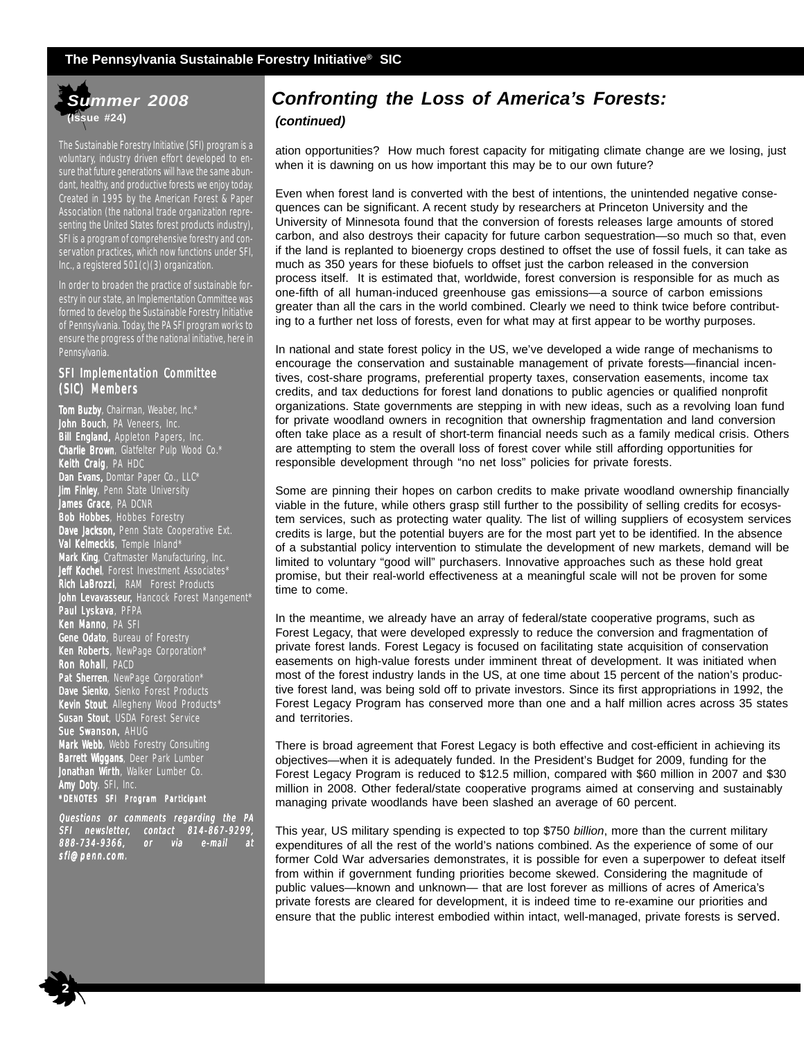## *Summer 2008* **(Issue #24)**

The Sustainable Forestry Initiative (SFI) program is a voluntary, industry driven effort developed to ensure that future generations will have the same abundant, healthy, and productive forests we enjoy today. Created in 1995 by the American Forest & Paper Association (the national trade organization representing the United States forest products industry), SFI is a program of comprehensive forestry and conservation practices, which now functions under SFI, Inc., a registered 501(c)(3) organization.

In order to broaden the practice of sustainable forestry in our state, an Implementation Committee was formed to develop the Sustainable Forestry Initiative of Pennsylvania. Today, the PA SFI program works to ensure the progress of the national initiative, here in Pennsylvania.

### SFI Implementation Committee (SIC) Members

Tom Buzby, Chairman, Weaber, Inc.\* **John Bouch**, PA Veneers, Inc. Bill England, Appleton Papers, Inc. Charlie Brown, Glatfelter Pulp Wood Co.\* Keith Craig, PA HDC Dan Evans, Domtar Paper Co., LLC\* **Jim Finley**, Penn State University **James Grace**, PA DCNR Bob Hobbes, Hobbes Forestry Dave Jackson, Penn State Cooperative Ext. Val Kelmeckis, Temple Inland\* Mark King, Craftmaster Manufacturing, Inc. Jeff Kochel, Forest Investment Associates\* Rich LaBrozzi, RAM Forest Products John Levavasseur, Hancock Forest Mangement\* Paul Lyskava, PFPA **Ken Manno**, PA SFI **Gene Odato**, Bureau of Forestry **Ken Roberts**, NewPage Corporation\* **Ron Rohall**, PACD Pat Sherren, NewPage Corporation\* Dave Sienko, Sienko Forest Products **Kevin Stout**, Allegheny Wood Products\* Susan Stout, USDA Forest Service Sue Swanson, AHUG Mark Webb, Webb Forestry Consulting Barrett Wiggans, Deer Park Lumber Jonathan Wirth, Walker Lumber Co. Amy Doty, SFI, Inc. \*DENOTES SFI Program Par ticipant

Questions or comments regarding the PA SFI newsletter, contact 814-867-9299, 814-867-9299, 888-734-9366, or via e-mail at sfi@penn.com.

 **2**

## *Confronting the Loss of America's Forests:*

### *(continued)*

ation opportunities? How much forest capacity for mitigating climate change are we losing, just when it is dawning on us how important this may be to our own future?

Even when forest land is converted with the best of intentions, the unintended negative consequences can be significant. A recent study by researchers at Princeton University and the University of Minnesota found that the conversion of forests releases large amounts of stored carbon, and also destroys their capacity for future carbon sequestration—so much so that, even if the land is replanted to bioenergy crops destined to offset the use of fossil fuels, it can take as much as 350 years for these biofuels to offset just the carbon released in the conversion process itself. It is estimated that, worldwide, forest conversion is responsible for as much as one-fifth of all human-induced greenhouse gas emissions—a source of carbon emissions greater than all the cars in the world combined. Clearly we need to think twice before contributing to a further net loss of forests, even for what may at first appear to be worthy purposes.

In national and state forest policy in the US, we've developed a wide range of mechanisms to encourage the conservation and sustainable management of private forests—financial incentives, cost-share programs, preferential property taxes, conservation easements, income tax credits, and tax deductions for forest land donations to public agencies or qualified nonprofit organizations. State governments are stepping in with new ideas, such as a revolving loan fund for private woodland owners in recognition that ownership fragmentation and land conversion often take place as a result of short-term financial needs such as a family medical crisis. Others are attempting to stem the overall loss of forest cover while still affording opportunities for responsible development through "no net loss" policies for private forests.

Some are pinning their hopes on carbon credits to make private woodland ownership financially viable in the future, while others grasp still further to the possibility of selling credits for ecosystem services, such as protecting water quality. The list of willing suppliers of ecosystem services credits is large, but the potential buyers are for the most part yet to be identified. In the absence of a substantial policy intervention to stimulate the development of new markets, demand will be limited to voluntary "good will" purchasers. Innovative approaches such as these hold great promise, but their real-world effectiveness at a meaningful scale will not be proven for some time to come.

In the meantime, we already have an array of federal/state cooperative programs, such as Forest Legacy, that were developed expressly to reduce the conversion and fragmentation of private forest lands. Forest Legacy is focused on facilitating state acquisition of conservation easements on high-value forests under imminent threat of development. It was initiated when most of the forest industry lands in the US, at one time about 15 percent of the nation's productive forest land, was being sold off to private investors. Since its first appropriations in 1992, the Forest Legacy Program has conserved more than one and a half million acres across 35 states and territories.

There is broad agreement that Forest Legacy is both effective and cost-efficient in achieving its objectives—when it is adequately funded. In the President's Budget for 2009, funding for the Forest Legacy Program is reduced to \$12.5 million, compared with \$60 million in 2007 and \$30 million in 2008. Other federal/state cooperative programs aimed at conserving and sustainably managing private woodlands have been slashed an average of 60 percent.

This year, US military spending is expected to top \$750 *billion*, more than the current military expenditures of all the rest of the world's nations combined. As the experience of some of our former Cold War adversaries demonstrates, it is possible for even a superpower to defeat itself from within if government funding priorities become skewed. Considering the magnitude of public values—known and unknown— that are lost forever as millions of acres of America's private forests are cleared for development, it is indeed time to re-examine our priorities and ensure that the public interest embodied within intact, well-managed, private forests is served.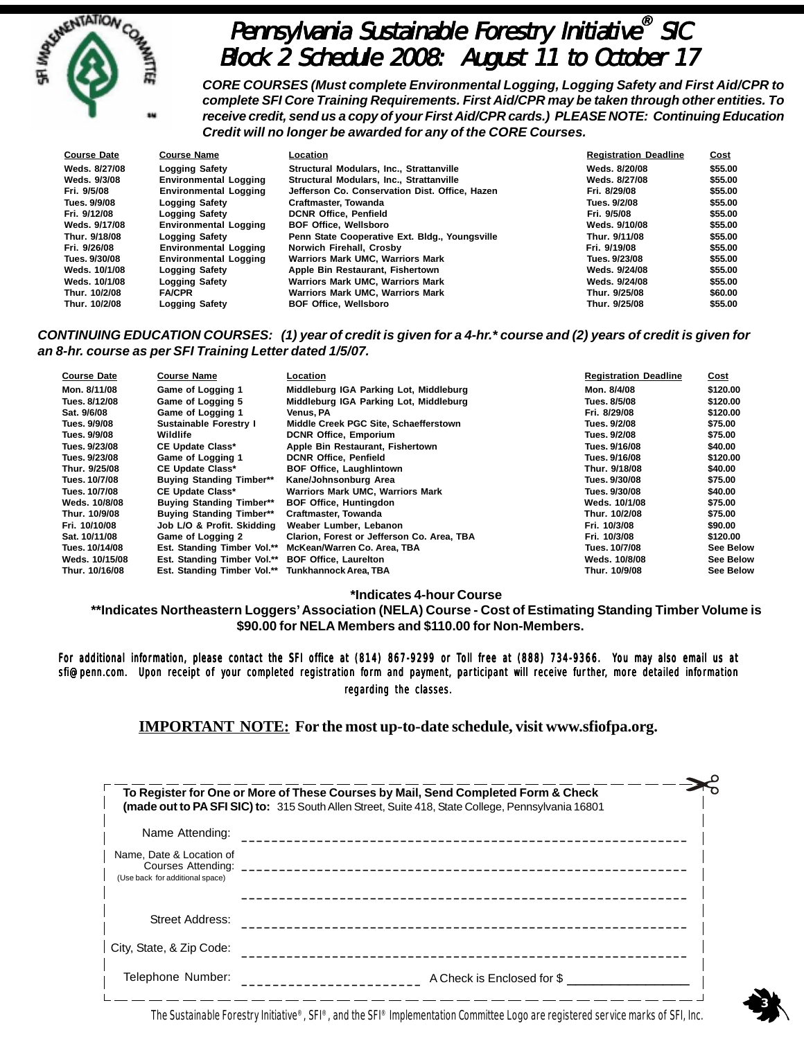

b5a316b4a216342397b

## Pennsylvania Sustainable Forestry Initiative® SIC Block 2 Schedule 2008: August 11 to October 17

*CORE COURSES (Must complete Environmental Logging, Logging Safety and First Aid/CPR to complete SFI Core Training Requirements. First Aid/CPR may be taken through other entities. To receive credit, send us a copy of your First Aid/CPR cards.) PLEASE NOTE: Continuing Education Credit will no longer be awarded for any of the CORE Courses.*

| <b>Course Date</b> | <b>Course Name</b>           | Location                                       | <b>Registration Deadline</b> | Cost    |
|--------------------|------------------------------|------------------------------------------------|------------------------------|---------|
| Weds, 8/27/08      | Logging Safety               | Structural Modulars, Inc., Strattanville       | Weds. 8/20/08                | \$55.00 |
| Weds, 9/3/08       | <b>Environmental Logging</b> | Structural Modulars, Inc., Strattanville       | Weds. 8/27/08                | \$55.00 |
| Fri. 9/5/08        | <b>Environmental Logging</b> | Jefferson Co. Conservation Dist. Office. Hazen | Fri. 8/29/08                 | \$55.00 |
| Tues. 9/9/08       | Logging Safety               | <b>Craftmaster, Towanda</b>                    | Tues. 9/2/08                 | \$55.00 |
| Fri. 9/12/08       | <b>Logging Safety</b>        | <b>DCNR Office, Penfield</b>                   | Fri. 9/5/08                  | \$55.00 |
| Weds. 9/17/08      | <b>Environmental Logging</b> | <b>BOF Office. Wellsboro</b>                   | Weds. 9/10/08                | \$55.00 |
| Thur. 9/18/08      | Logging Safety               | Penn State Cooperative Ext. Bldg., Youngsville | Thur. 9/11/08                | \$55.00 |
| Fri. 9/26/08       | <b>Environmental Logging</b> | Norwich Firehall, Crosby                       | Fri. 9/19/08                 | \$55.00 |
| Tues. 9/30/08      | <b>Environmental Logging</b> | <b>Warriors Mark UMC, Warriors Mark</b>        | Tues. 9/23/08                | \$55.00 |
| Weds. 10/1/08      | <b>Logging Safety</b>        | Apple Bin Restaurant, Fishertown               | Weds. 9/24/08                | \$55.00 |
| Weds. 10/1/08      | <b>Logging Safety</b>        | <b>Warriors Mark UMC, Warriors Mark</b>        | Weds. 9/24/08                | \$55.00 |
| Thur. 10/2/08      | <b>FA/CPR</b>                | <b>Warriors Mark UMC, Warriors Mark</b>        | Thur. 9/25/08                | \$60.00 |
| Thur. 10/2/08      | Logging Safety               | <b>BOF Office, Wellsboro</b>                   | Thur. 9/25/08                | \$55.00 |

### *CONTINUING EDUCATION COURSES: (1) year of credit is given for a 4-hr.\* course and (2) years of credit is given for an 8-hr. course as per SFI Training Letter dated 1/5/07.*

| <b>Course Date</b> | <b>Course Name</b>              | Location                                   | <b>Registration Deadline</b> | Cost             |
|--------------------|---------------------------------|--------------------------------------------|------------------------------|------------------|
| Mon. 8/11/08       | Game of Logging 1               | Middleburg IGA Parking Lot, Middleburg     | Mon. 8/4/08                  | \$120.00         |
| Tues, 8/12/08      | Game of Logging 5               | Middleburg IGA Parking Lot, Middleburg     | Tues. 8/5/08                 | \$120.00         |
| Sat. 9/6/08        | Game of Logging 1               | Venus. PA                                  | Fri. 8/29/08                 | \$120.00         |
| Tues, 9/9/08       | <b>Sustainable Forestry I</b>   | Middle Creek PGC Site, Schaefferstown      | Tues. 9/2/08                 | \$75.00          |
| Tues, 9/9/08       | Wildlife                        | <b>DCNR Office, Emporium</b>               | Tues. 9/2/08                 | \$75.00          |
| Tues, 9/23/08      | <b>CE Update Class*</b>         | Apple Bin Restaurant, Fishertown           | Tues. 9/16/08                | \$40.00          |
| Tues. 9/23/08      | <b>Game of Logging 1</b>        | <b>DCNR Office, Penfield</b>               | Tues. 9/16/08                | \$120.00         |
| Thur. 9/25/08      | <b>CE Update Class*</b>         | <b>BOF Office, Laughlintown</b>            | Thur. 9/18/08                | \$40.00          |
| Tues. 10/7/08      | <b>Buying Standing Timber**</b> | Kane/Johnsonburg Area                      | Tues. 9/30/08                | \$75.00          |
| Tues, 10/7/08      | <b>CE Update Class*</b>         | <b>Warriors Mark UMC, Warriors Mark</b>    | Tues. 9/30/08                | \$40.00          |
| Weds. 10/8/08      | <b>Buying Standing Timber**</b> | <b>BOF Office, Huntingdon</b>              | Weds. 10/1/08                | \$75.00          |
| Thur. 10/9/08      | <b>Buying Standing Timber**</b> | Craftmaster, Towanda                       | Thur. 10/2/08                | \$75.00          |
| Fri. 10/10/08      | Job L/O & Profit. Skiddina      | Weaber Lumber, Lebanon                     | Fri. 10/3/08                 | \$90.00          |
| Sat. 10/11/08      | <b>Game of Logging 2</b>        | Clarion, Forest or Jefferson Co. Area, TBA | Fri. 10/3/08                 | \$120.00         |
| Tues. 10/14/08     | Est. Standing Timber Vol.**     | McKean/Warren Co. Area, TBA                | Tues. 10/7/08                | <b>See Below</b> |
| Weds. 10/15/08     | Est. Standing Timber Vol.**     | <b>BOF Office, Laurelton</b>               | Weds. 10/8/08                | <b>See Below</b> |
| Thur. 10/16/08     | Est. Standing Timber Vol.**     | Tunkhannock Area. TBA                      | Thur. 10/9/08                | <b>See Below</b> |

#### **\*Indicates 4-hour Course**

**\*\*Indicates Northeastern Loggers' Association (NELA) Course - Cost of Estimating Standing Timber Volume is \$90.00 for NELA Members and \$110.00 for Non-Members.**

For additional information, please contact the SFI office at (814) 867-9299 or Toll free at (888) 734-9366. You may also email us at sfi@penn.com. Upon receipt of your completed registration form and payment, participant will receive further, more detailed information regarding the classes.

**IMPORTANT NOTE: For the most up-to-date schedule, visit www.sfiofpa.org.**

|                                                                                        | To Register for One or More of These Courses by Mail, Send Completed Form & Check<br><b>(made out to PA SFI SIC) to:</b> 315 South Allen Street, Suite 418, State College, Pennsylvania 16801 |
|----------------------------------------------------------------------------------------|-----------------------------------------------------------------------------------------------------------------------------------------------------------------------------------------------|
| Name Attending:                                                                        |                                                                                                                                                                                               |
| Name, Date & Location of<br>Courses Attending: ____<br>(Use back for additional space) |                                                                                                                                                                                               |
| Street Address:                                                                        |                                                                                                                                                                                               |
| City, State, & Zip Code:                                                               |                                                                                                                                                                                               |
| Telephone Number:                                                                      | A Check is Enclosed for \$                                                                                                                                                                    |



The Sustainable Forestry Initiative®, SFI®, and the SFI® Implementation Committee Logo are registered service marks of SFI, Inc.**<sup>3</sup>**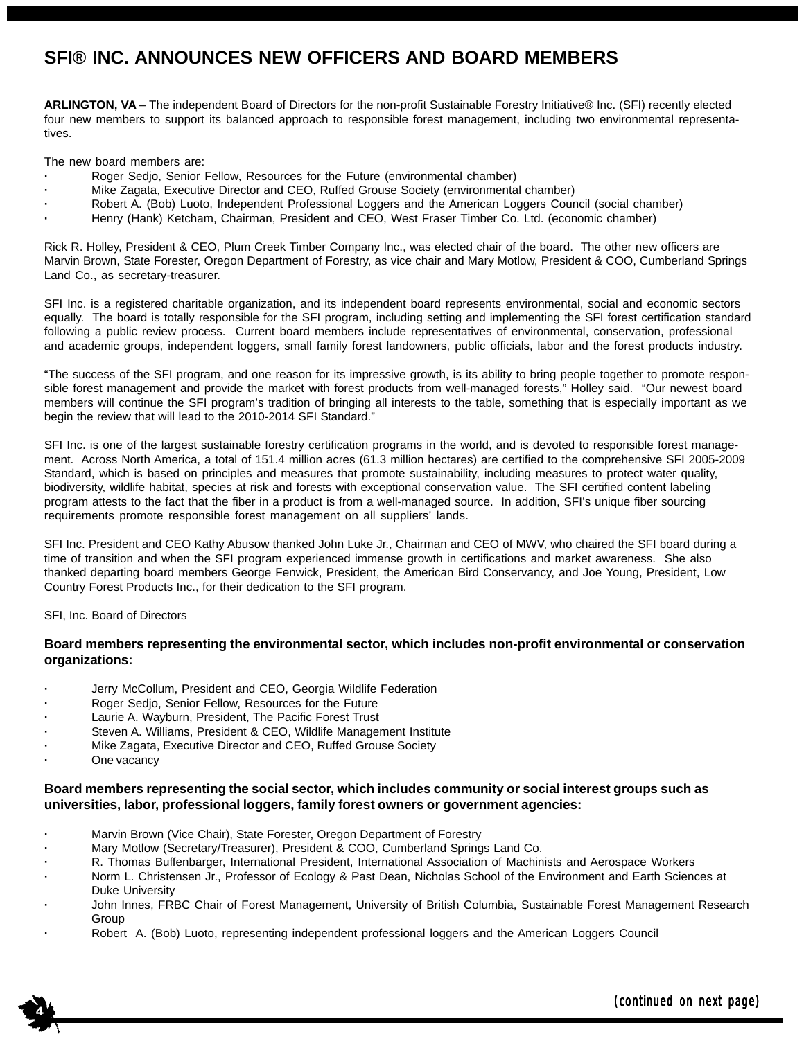## **SFI® INC. ANNOUNCES NEW OFFICERS AND BOARD MEMBERS**

**ARLINGTON, VA** – The independent Board of Directors for the non-profit Sustainable Forestry Initiative® Inc. (SFI) recently elected four new members to support its balanced approach to responsible forest management, including two environmental representatives.

The new board members are:

- **·** Roger Sedjo, Senior Fellow, Resources for the Future (environmental chamber)
- **·** Mike Zagata, Executive Director and CEO, Ruffed Grouse Society (environmental chamber)
- **·** Robert A. (Bob) Luoto, Independent Professional Loggers and the American Loggers Council (social chamber)
- **·** Henry (Hank) Ketcham, Chairman, President and CEO, West Fraser Timber Co. Ltd. (economic chamber)

Rick R. Holley, President & CEO, Plum Creek Timber Company Inc., was elected chair of the board. The other new officers are Marvin Brown, State Forester, Oregon Department of Forestry, as vice chair and Mary Motlow, President & COO, Cumberland Springs Land Co., as secretary-treasurer.

SFI Inc. is a registered charitable organization, and its independent board represents environmental, social and economic sectors equally. The board is totally responsible for the SFI program, including setting and implementing the SFI forest certification standard following a public review process. Current board members include representatives of environmental, conservation, professional and academic groups, independent loggers, small family forest landowners, public officials, labor and the forest products industry.

"The success of the SFI program, and one reason for its impressive growth, is its ability to bring people together to promote responsible forest management and provide the market with forest products from well-managed forests," Holley said. "Our newest board members will continue the SFI program's tradition of bringing all interests to the table, something that is especially important as we begin the review that will lead to the 2010-2014 SFI Standard."

SFI Inc. is one of the largest sustainable forestry certification programs in the world, and is devoted to responsible forest management. Across North America, a total of 151.4 million acres (61.3 million hectares) are certified to the comprehensive SFI 2005-2009 Standard, which is based on principles and measures that promote sustainability, including measures to protect water quality, biodiversity, wildlife habitat, species at risk and forests with exceptional conservation value. The SFI certified content labeling program attests to the fact that the fiber in a product is from a well-managed source. In addition, SFI's unique fiber sourcing requirements promote responsible forest management on all suppliers' lands.

SFI Inc. President and CEO Kathy Abusow thanked John Luke Jr., Chairman and CEO of MWV, who chaired the SFI board during a time of transition and when the SFI program experienced immense growth in certifications and market awareness. She also thanked departing board members George Fenwick, President, the American Bird Conservancy, and Joe Young, President, Low Country Forest Products Inc., for their dedication to the SFI program.

SFI, Inc. Board of Directors

### **Board members representing the environmental sector, which includes non-profit environmental or conservation organizations:**

- **·** Jerry McCollum, President and CEO, Georgia Wildlife Federation
- **·** Roger Sedjo, Senior Fellow, Resources for the Future
- **·** Laurie A. Wayburn, President, The Pacific Forest Trust
- **·** Steven A. Williams, President & CEO, Wildlife Management Institute
- **·** Mike Zagata, Executive Director and CEO, Ruffed Grouse Society
- **·** One vacancy

### **Board members representing the social sector, which includes community or social interest groups such as universities, labor, professional loggers, family forest owners or government agencies:**

- **·** Marvin Brown (Vice Chair), State Forester, Oregon Department of Forestry
- **·** Mary Motlow (Secretary/Treasurer), President & COO, Cumberland Springs Land Co.
- **·** R. Thomas Buffenbarger, International President, International Association of Machinists and Aerospace Workers
- **·** Norm L. Christensen Jr., Professor of Ecology & Past Dean, Nicholas School of the Environment and Earth Sciences at Duke University
- **·** John Innes, FRBC Chair of Forest Management, University of British Columbia, Sustainable Forest Management Research Group
- **·** Robert A. (Bob) Luoto, representing independent professional loggers and the American Loggers Council

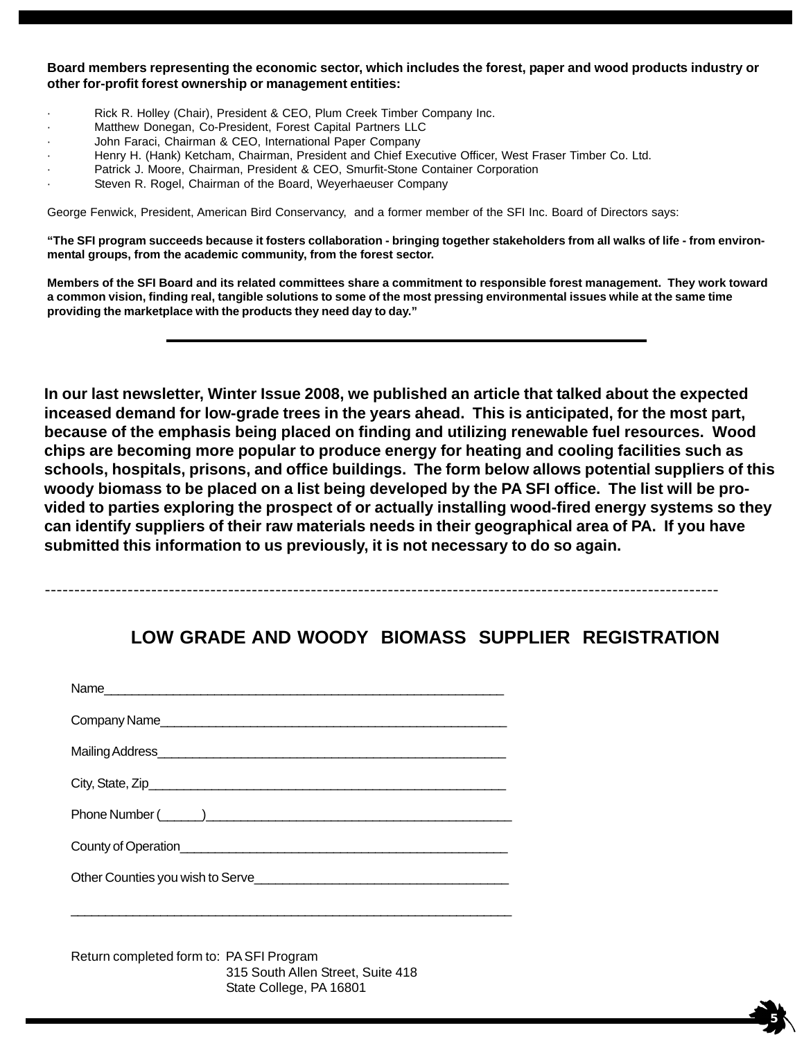### **Board members representing the economic sector, which includes the forest, paper and wood products industry or other for-profit forest ownership or management entities:**

- Rick R. Holley (Chair), President & CEO, Plum Creek Timber Company Inc.
- Matthew Donegan, Co-President, Forest Capital Partners LLC
- John Faraci, Chairman & CEO, International Paper Company
- · Henry H. (Hank) Ketcham, Chairman, President and Chief Executive Officer, West Fraser Timber Co. Ltd.
- Patrick J. Moore, Chairman, President & CEO, Smurfit-Stone Container Corporation
- Steven R. Rogel, Chairman of the Board, Weyerhaeuser Company

George Fenwick, President, American Bird Conservancy, and a former member of the SFI Inc. Board of Directors says:

**"The SFI program succeeds because it fosters collaboration - bringing together stakeholders from all walks of life - from environmental groups, from the academic community, from the forest sector.**

**Members of the SFI Board and its related committees share a commitment to responsible forest management. They work toward a common vision, finding real, tangible solutions to some of the most pressing environmental issues while at the same time providing the marketplace with the products they need day to day."**

**In our last newsletter, Winter Issue 2008, we published an article that talked about the expected inceased demand for low-grade trees in the years ahead. This is anticipated, for the most part, because of the emphasis being placed on finding and utilizing renewable fuel resources. Wood chips are becoming more popular to produce energy for heating and cooling facilities such as schools, hospitals, prisons, and office buildings. The form below allows potential suppliers of this woody biomass to be placed on a list being developed by the PA SFI office. The list will be provided to parties exploring the prospect of or actually installing wood-fired energy systems so they can identify suppliers of their raw materials needs in their geographical area of PA. If you have submitted this information to us previously, it is not necessary to do so again.**

## ------------------------------------------------------------------------------------------------------------------

## **LOW GRADE AND WOODY BIOMASS SUPPLIER REGISTRATION**

 **5**

Return completed form to: PA SFI Program 315 South Allen Street, Suite 418 State College, PA 16801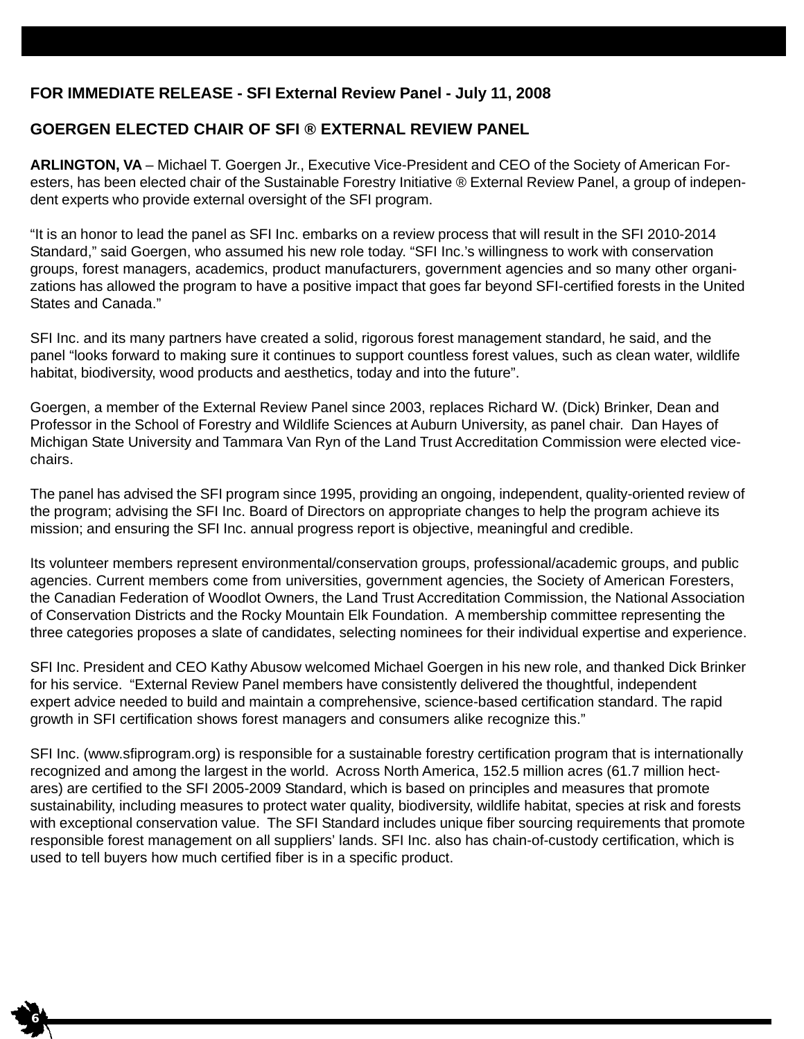## **FOR IMMEDIATE RELEASE - SFI External Review Panel - July 11, 2008**

## **GOERGEN ELECTED CHAIR OF SFI ® EXTERNAL REVIEW PANEL**

**ARLINGTON, VA** – Michael T. Goergen Jr., Executive Vice-President and CEO of the Society of American Foresters, has been elected chair of the Sustainable Forestry Initiative ® External Review Panel, a group of independent experts who provide external oversight of the SFI program.

"It is an honor to lead the panel as SFI Inc. embarks on a review process that will result in the SFI 2010-2014 Standard," said Goergen, who assumed his new role today. "SFI Inc.'s willingness to work with conservation groups, forest managers, academics, product manufacturers, government agencies and so many other organizations has allowed the program to have a positive impact that goes far beyond SFI-certified forests in the United States and Canada."

SFI Inc. and its many partners have created a solid, rigorous forest management standard, he said, and the panel "looks forward to making sure it continues to support countless forest values, such as clean water, wildlife habitat, biodiversity, wood products and aesthetics, today and into the future".

Goergen, a member of the External Review Panel since 2003, replaces Richard W. (Dick) Brinker, Dean and Professor in the School of Forestry and Wildlife Sciences at Auburn University, as panel chair. Dan Hayes of Michigan State University and Tammara Van Ryn of the Land Trust Accreditation Commission were elected vicechairs.

The panel has advised the SFI program since 1995, providing an ongoing, independent, quality-oriented review of the program; advising the SFI Inc. Board of Directors on appropriate changes to help the program achieve its mission; and ensuring the SFI Inc. annual progress report is objective, meaningful and credible.

Its volunteer members represent environmental/conservation groups, professional/academic groups, and public agencies. Current members come from universities, government agencies, the Society of American Foresters, the Canadian Federation of Woodlot Owners, the Land Trust Accreditation Commission, the National Association of Conservation Districts and the Rocky Mountain Elk Foundation. A membership committee representing the three categories proposes a slate of candidates, selecting nominees for their individual expertise and experience.

SFI Inc. President and CEO Kathy Abusow welcomed Michael Goergen in his new role, and thanked Dick Brinker for his service. "External Review Panel members have consistently delivered the thoughtful, independent expert advice needed to build and maintain a comprehensive, science-based certification standard. The rapid growth in SFI certification shows forest managers and consumers alike recognize this."

SFI Inc. (www.sfiprogram.org) is responsible for a sustainable forestry certification program that is internationally recognized and among the largest in the world. Across North America, 152.5 million acres (61.7 million hectares) are certified to the SFI 2005-2009 Standard, which is based on principles and measures that promote sustainability, including measures to protect water quality, biodiversity, wildlife habitat, species at risk and forests with exceptional conservation value. The SFI Standard includes unique fiber sourcing requirements that promote responsible forest management on all suppliers' lands. SFI Inc. also has chain-of-custody certification, which is used to tell buyers how much certified fiber is in a specific product.

 **6**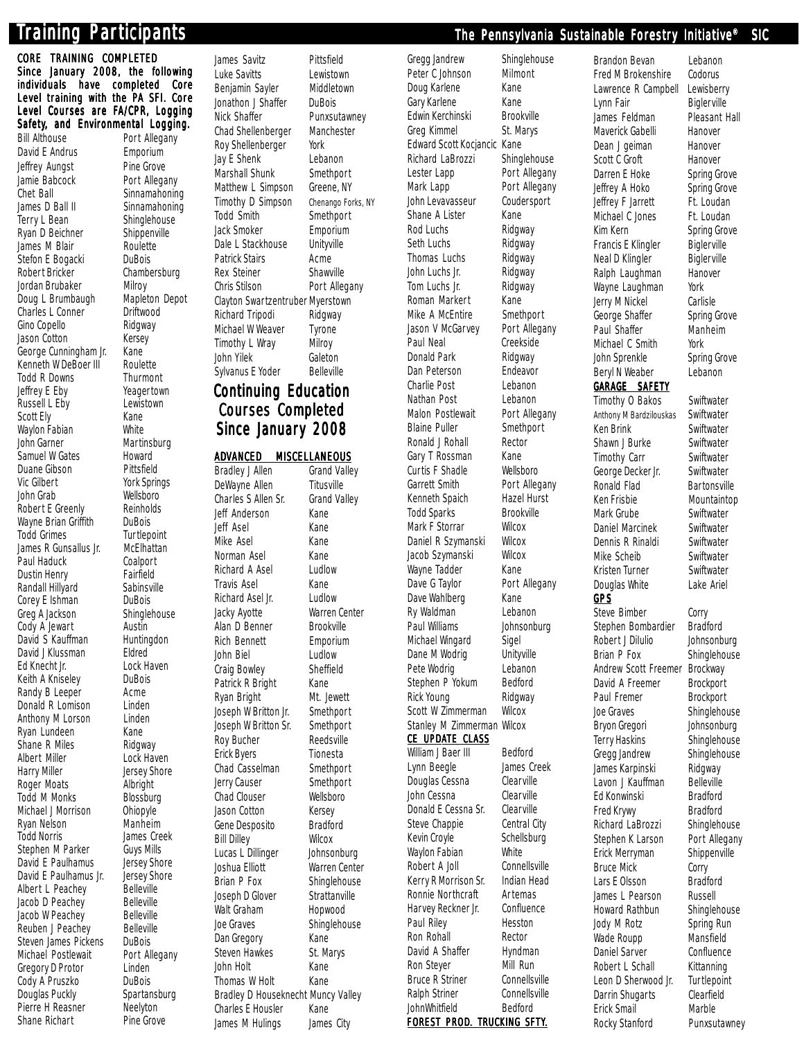CORE TRAINING COMPLETED Since January 2008, the following individuals have completed Core Level training with the PA SFI. Core Level Courses are FA/CPR, Logging Safety, and Environmental Logging. Bill Althouse Port Allegany

David E Andrus Emporium Jeffrey Aungst Pine Grove Jamie Babcock Port Allegany<br>Chet Ball Sinnamahonir Chet Ball<br>James D Ball II Sinnamahoning Terry L Bean Shinglehouse<br>
Ryan D Beichner Shippenville Ryan D Beichner Shippenv<br>James M Blair Saulette James M Blair Roulette<br>Stefon E Bogacki DuBois Stefon E Bogacki Robert Bricker Chambersburg Jordan Brubaker Milroy<br>Doug L Brumbaugh Mapleton Depot Doug L Brumbaugh Charles L Conner Driftwood Gino Copello Ridgway Jason Cotton Kersey George Cunningham Jr. Kane<br>Kenneth W DeBoer III Roulette Kenneth W DeBoer III Todd R Downs Thurmont Jeffrey E Eby Yeagertown Russell L Eby<br>Scott Fly Rane Scott Ely Waylon Fabian White<br>John Garner Martii Samuel W Gates Howard Duane Gibson<br>Vic Gilbert Pittsfield<br>Vork Sprin John Grab Robert E Greenly Reinholds Wayne Brian Griffith DuBois<br>Todd Grimes Turtlep James R Gunsallus Jr. McElhattan<br>Paul Haduck Coalport Paul Haduck Dustin Henry Fairfield Randall Hillyard Sabinsv<br>Corey Elshman DuBois Corey E Ishman DuBois<br>Greg A Jackson Shinglehouse Greg A Jackson Shingle<br>Cody A Jewart Austin Cody A Jewart Austin<br>David S Kauffman Huntingdon David S Kauffman David J Klussman Eldred<br>Ed Knecht Jr. Lock Haven Ed Knecht Jr. Lock Haven Keith A Kniseley **DuBoi:**<br>Randy B Leeper **Acme** Randy B Leeper Acme<br>
Donald R Lomison Linden Donald R Lomison Anthony M Lorson Linden Ryan Lundeen Kane Shane R Miles **Ridgway**<br>Albert Miller **Ridgway** Albert Miller Lock Haven<br>Harry Miller Lersey Shore Roger Moats<br>Todd M Monks Blossburg Todd M Monks Michael J Morrison Ohiopyle Ryan Nelson Manheim<br>Todd Norris Mames Cre Stephen M Parker David E Paulhamus Jersey Shore<br>David E Paulhamus Jr. Jersey Shore David E Paulhamus Jr. Albert L Peachey Belleville<br>Lacob D Peachev Belleville Jacob D Peachey Belleville<br>Jacob W Peachev Belleville Jacob W Peachey Belleville<br>Reuben J Peachev Belleville Reuben J Peachev Steven James Pickens DuBois Michael Postlewait Port Allegany Gregory D Protor Linden<br>Cody A Pruszko DuBois Cody A Pruszko DuBois<br>Douglas Puckly Spartansburg Douglas Puckly Pierre H Reasner Neelyton Shane Richart Pine Grove

Sinnamahoning Martinsburg York Springs<br>Wellsboro

Turtlepoint<br>McElhattan Jersey Shore<br>Albright James Creek<br>Guys Mills

James Savitz Pittsfield Luke Savitts<br>
Beniamin Savler **Savitte Beniamin Savler** Benjamin Sayler Jonathon J Shaffer DuBois Nick Shaffer Punxsutawney Chad Shellenberger Manchester Roy Shellenberger York Jay E Shenk Lebanon Marshall Shunk Smethport Matthew L Simpson Greene, NY Timothy D Simpson Chenango Forks, NY<br>Todd Smith Smethport Todd Smith Smethport<br>
Iack Smoker Fmporium Emporium Dale L Stackhouse Unityville Patrick Stairs **Acme** Rex Steiner Shawville Chris Stilson Port Allegany Clayton Swartzentruber Myerstown Richard Tripodi Ridgway Michael W Weaver Tyrone Timothy L Wray Milroy John Yilek Galeton Sylvanus E Yoder Belleville

## **Continuing Education Courses Completed** Since January 2008

#### ADVANCED MISCELLANEOUS

Bradley J Allen Grand Valley DeWayne Allen Titusville Charles S Allen Sr. Grand Valley Jeff Anderson Kane Jeff Asel Kane Mike Asel **Kane** Norman Asel Kane Richard A Asel Ludlow Travis Asel Kane Richard Asel Jr. Ludlow Jacky Ayotte Warren Center Alan D Benner Brookville Rich Bennett Emporium John Biel Ludlow Craig Bowley Sheffield Patrick R Bright Kane Ryan Bright Mt. Jewett Joseph W Britton Jr. Smethport Joseph W Britton Sr. Smethport Roy Bucher Reedsville Erick Byers Tionesta Chad Casselman Smethport Jerry Causer Smethport Chad Clouser Wellsboro Jason Cotton Kersey<br>Gene Desposito Bradford Gene Desposito Bill Dilley Wilcox Lucas L Dillinger Johnsonburg Joshua Elliott Warren Center Brian P Fox Shinglehouse Joseph D Glover Strattanville Walt Graham Hopwood Joe Graves Shinglehouse Dan Gregory Kane Steven Hawkes St. Marys John Holt Kane Thomas W Holt Kane Bradley D Houseknecht Muncy Valley Charles E Housler Kane James M Hulings James City

Gregg Jandrew Shinglehouse Peter C Johnson Milmont Doug Karlene Kane Gary Karlene Kane Edwin Kerchinski Brookville Greg Kimmel St. Marys Edward Scott Kocjancic Kane Richard LaBrozzi Shinglehouse Lester Lapp Port Allegany Mark Lapp Port Allegany John Levavasseur Coudersport Shane A Lister Kane Rod Luchs Ridgway Seth Luchs Ridgway Thomas Luchs Ridgway John Luchs Jr. Ridgway Tom Luchs Jr. Ridgway Roman Markert Kane Mike A McEntire Smethport Jason V McGarvey Port Allegany Paul Neal Creekside Donald Park Ridgway Dan Peterson Endeavor Charlie Post Lebanon Nathan Post Lebanon Malon Postlewait Port Allegany Blaine Puller Smethport Ronald J Rohall Rector Gary T Rossman Kane Curtis F Shadle Wellsboro Garrett Smith Port Allegany Kenneth Spaich Hazel Hurst Todd Sparks Brookville Mark F Storrar Wilcox Daniel R Szymanski Wilcox<br>Jacob Szymanski Wilcox Jacob Szymanski Wayne Tadder Kane Dave G Taylor Port Allegany Dave Wahlberg Kane Ry Waldman Lebanon Paul Williams Johnsonburg Michael Wingard Sigel Dane M Wodrig Unityville Pete Wodrig **Lebanon** Stephen P Yokum Bedford Rick Young Ridgway Scott W Zimmerman Wilcox Stanley M Zimmerman Wilcox CE UPDATE CLASS William J Baer III Bedford Lynn Beegle James Creek Douglas Cessna Clearville John Cessna Clearville Donald E Cessna Sr. Clearville Steve Chappie Central City Kevin Croyle Schellsburg Waylon Fabian White Robert A Joll Connellsville Kerry R Morrison Sr. Indian Head Ronnie Northcraft Artemas<br>Harvey Reckner Ir Confluence Harvey Reckner Jr. Paul Riley Hesston Ron Rohall Rector David A Shaffer Hyndman Ron Steyer Mill Run Bruce R Striner Connellsville Ralph Striner Connellsville JohnWhitfield Bedford FOREST PROD. TRUCKING SFTY.

## Training Participants ticipants the Pennsylvania Sustainable Forestry Initiative<sup>®</sup> SIC

GARAGE SAFETY Shawn J Burke Dennis R Rinaldi GPS Bruce Mick Corry James L Pearson Russell Erick Smail Marble Rocky Stanford Punxsutawney

Brandon Bevan Lebanon Fred M Brokenshire Codorus Lawrence R Campbell Lewisberry Lynn Fair **Biglerville** James Feldman Pleasant Hall Maverick Gabelli Hanover Dean J geiman Hanover Scott C Groft Hanover Darren E Hoke Spring Grove Jeffrey A Hoko Spring Grove Jeffrey F Jarrett Ft. Loudan Michael C Jones Ft. Loudan Kim Kern Spring Grove Francis E Klingler Biglerville Neal D Klingler Biglerville Ralph Laughman Hanover Wayne Laughman York Jerry M Nickel Carlisle George Shaffer Spring Grove Paul Shaffer Manheim Michael C Smith York John Sprenkle Spring Grove Beryl N Weaber Lebanon Timothy O Bakos Swiftwater Anthony M Bardzilouskas Swiftwater Ken Brink Swiftwater<br>Shawn J Burke Swiftwater Timothy Carr Swiftwater George Decker Jr. Swiftwater Ronald Flad Bartonsville Ken Frisbie Mountaintop<br>Mark Grube Swiftwater Mark Grube Swiftwater<br>Daniel Marcinek Swiftwater Daniel Marcinek Swiftwater<br>Dennis R Rinaldi Swiftwater Mike Scheib Swiftwater Kristen Turner Swiftwater Douglas White Lake Ariel Steve Bimber Corry Stephen Bombardier Bradford Robert J Dilulio Johnsonburg Brian P Fox Shinglehouse Andrew Scott Freemer Brockway David A Freemer Brockport Paul Fremer Brockport Joe Graves Shinglehouse Bryon Gregori Johnsonburg Terry Haskins Shinglehouse Gregg Jandrew Shinglehouse James Karpinski Ridgway Lavon J Kauffman Belleville Ed Konwinski Bradford Fred Krywy Bradford Richard LaBrozzi Shinglehouse

Stephen K Larson Port Allegany Erick Merryman Shippenville Lars E Olsson Bradford Howard Rathbun Shinglehouse Jody M Rotz Spring Run Wade Roupp Mansfield Daniel Sarver Confluence Robert L Schall Kittanning Leon D Sherwood Jr. Turtlepoint Darrin Shugarts Clearfield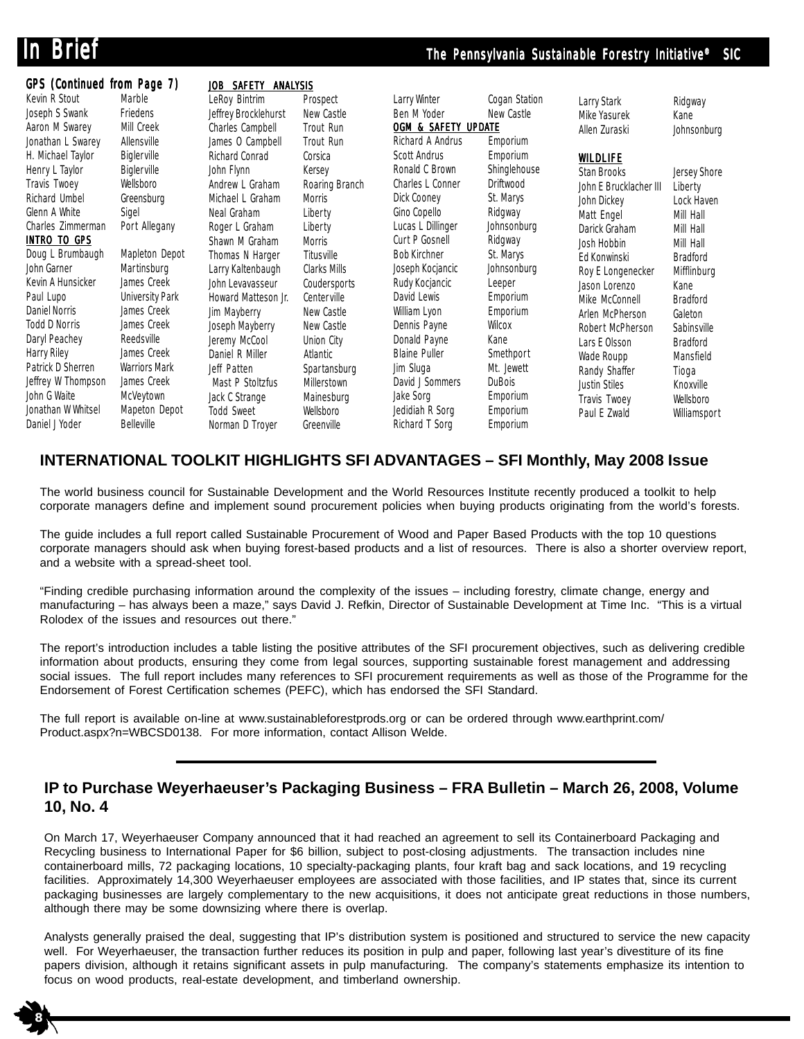## In Brief

**11**

**8**

| GPS (Continued from Page 7) |                        | JOB SAFETY ANALYSIS   |                     |                                |               |                        |                 |
|-----------------------------|------------------------|-----------------------|---------------------|--------------------------------|---------------|------------------------|-----------------|
| Kevin R Stout               | Marble                 | LeRoy Bintrim         | Prospect            | Larry Winter                   | Cogan Station | Larry Stark            | Ridgway         |
| Joseph S Swank              | Friedens               | Jeffrey Brocklehurst  | New Castle          | Ben M Yoder                    | New Castle    | Mike Yasurek           | Kane            |
| Aaron M Swarey              | Mill Creek             | Charles Campbell      | <b>Trout Run</b>    | <b>OGM &amp; SAFETY UPDATE</b> |               | Allen Zuraski          | Johnsonburg     |
| Jonathan L Swarey           | Allensville            | James O Campbell      | <b>Trout Run</b>    | Richard A Andrus               | Emporium      |                        |                 |
| H. Michael Taylor           | Biglerville            | <b>Richard Conrad</b> | Corsica             | <b>Scott Andrus</b>            | Emporium      | <b>WILDLIFE</b>        |                 |
| Henry L Taylor              | Biglerville            | John Flynn            | Kersey              | Ronald C Brown                 | Shinglehouse  | <b>Stan Brooks</b>     | Jersey Shore    |
| Travis Twoey                | Wellsboro              | Andrew L Graham       | Roaring Branch      | Charles L Conner               | Driftwood     | John E Brucklacher III | Liberty         |
| <b>Richard Umbel</b>        | Greensburg             | Michael L Graham      | Morris              | Dick Cooney                    | St. Marys     | John Dickey            | Lock Haven      |
| Glenn A White               | Sigel                  | Neal Graham           | Liberty             | Gino Copello                   | Ridgway       | Matt Engel             | Mill Hall       |
| Charles Zimmerman           | Port Allegany          | Roger L Graham        | Liberty             | Lucas L Dillinger              | Johnsonburg   | Darick Graham          | Mill Hall       |
| INTRO TO GPS                |                        | Shawn M Graham        | <b>Morris</b>       | Curt P Gosnell                 | Ridgway       | Josh Hobbin            | Mill Hall       |
| Doug L Brumbaugh            | Mapleton Depot         | Thomas N Harger       | Titusville          | <b>Bob Kirchner</b>            | St. Marys     | Ed Konwinski           | <b>Bradford</b> |
| John Garner                 | Martinsburg            | Larry Kaltenbaugh     | <b>Clarks Mills</b> | Joseph Kocjancic               | Johnsonburg   | Roy E Longenecker      | Mifflinburg     |
| Kevin A Hunsicker           | James Creek            | John Levavasseur      | Coudersports        | Rudy Kocjancic                 | Leeper        | Jason Lorenzo          | Kane            |
| Paul Lupo                   | <b>University Park</b> | Howard Matteson Jr.   | Centerville         | David Lewis                    | Emporium      | Mike McConnell         | <b>Bradford</b> |
| Daniel Norris               | James Creek            | Jim Mayberry          | New Castle          | William Lyon                   | Emporium      | Arlen McPherson        | Galeton         |
| <b>Todd D Norris</b>        | James Creek            | Joseph Mayberry       | New Castle          | Dennis Payne                   | Wilcox        | Robert McPherson       | Sabinsville     |
| Daryl Peachey               | Reedsville             | Jeremy McCool         | Union City          | Donald Payne                   | Kane          | Lars E Olsson          | <b>Bradford</b> |
| Harry Riley                 | James Creek            | Daniel R Miller       | Atlantic            | <b>Blaine Puller</b>           | Smethport     | Wade Roupp             | Mansfield       |
| Patrick D Sherren           | <b>Warriors Mark</b>   | Jeff Patten           | <b>Spartansburg</b> | Jim Sluga                      | Mt. Jewett    | Randy Shaffer          | Tioga           |
| Jeffrey W Thompson          | James Creek            | Mast P Stoltzfus      | <b>Millerstown</b>  | David J Sommers                | <b>DuBois</b> | <b>Justin Stiles</b>   | Knoxville       |
| John G Waite                | McVeytown              | Jack C Strange        | Mainesburg          | Jake Sorg                      | Emporium      | <b>Travis Twoey</b>    | Wellsboro       |
| Jonathan W Whitsel          | Mapeton Depot          | <b>Todd Sweet</b>     | Wellsboro           | Jedidiah R Sorg                | Emporium      | Paul E Zwald           | Williamsport    |
| Daniel J Yoder              | <b>Belleville</b>      | Norman D Troyer       | Greenville          | Richard T Sorg                 | Emporium      |                        |                 |

## **INTERNATIONAL TOOLKIT HIGHLIGHTS SFI ADVANTAGES – SFI Monthly, May 2008 Issue**

The world business council for Sustainable Development and the World Resources Institute recently produced a toolkit to help corporate managers define and implement sound procurement policies when buying products originating from the world's forests.

The guide includes a full report called Sustainable Procurement of Wood and Paper Based Products with the top 10 questions corporate managers should ask when buying forest-based products and a list of resources. There is also a shorter overview report, and a website with a spread-sheet tool.

"Finding credible purchasing information around the complexity of the issues – including forestry, climate change, energy and manufacturing – has always been a maze," says David J. Refkin, Director of Sustainable Development at Time Inc. "This is a virtual Rolodex of the issues and resources out there."

The report's introduction includes a table listing the positive attributes of the SFI procurement objectives, such as delivering credible information about products, ensuring they come from legal sources, supporting sustainable forest management and addressing social issues. The full report includes many references to SFI procurement requirements as well as those of the Programme for the Endorsement of Forest Certification schemes (PEFC), which has endorsed the SFI Standard.

The full report is available on-line at www.sustainableforestprods.org or can be ordered through www.earthprint.com/ Product.aspx?n=WBCSD0138. For more information, contact Allison Welde.

## **IP to Purchase Weyerhaeuser's Packaging Business – FRA Bulletin – March 26, 2008, Volume 10, No. 4**

On March 17, Weyerhaeuser Company announced that it had reached an agreement to sell its Containerboard Packaging and Recycling business to International Paper for \$6 billion, subject to post-closing adjustments. The transaction includes nine containerboard mills, 72 packaging locations, 10 specialty-packaging plants, four kraft bag and sack locations, and 19 recycling facilities. Approximately 14,300 Weyerhaeuser employees are associated with those facilities, and IP states that, since its current packaging businesses are largely complementary to the new acquisitions, it does not anticipate great reductions in those numbers, although there may be some downsizing where there is overlap.

Analysts generally praised the deal, suggesting that IP's distribution system is positioned and structured to service the new capacity well. For Weyerhaeuser, the transaction further reduces its position in pulp and paper, following last year's divestiture of its fine papers division, although it retains significant assets in pulp manufacturing. The company's statements emphasize its intention to focus on wood products, real-estate development, and timberland ownership.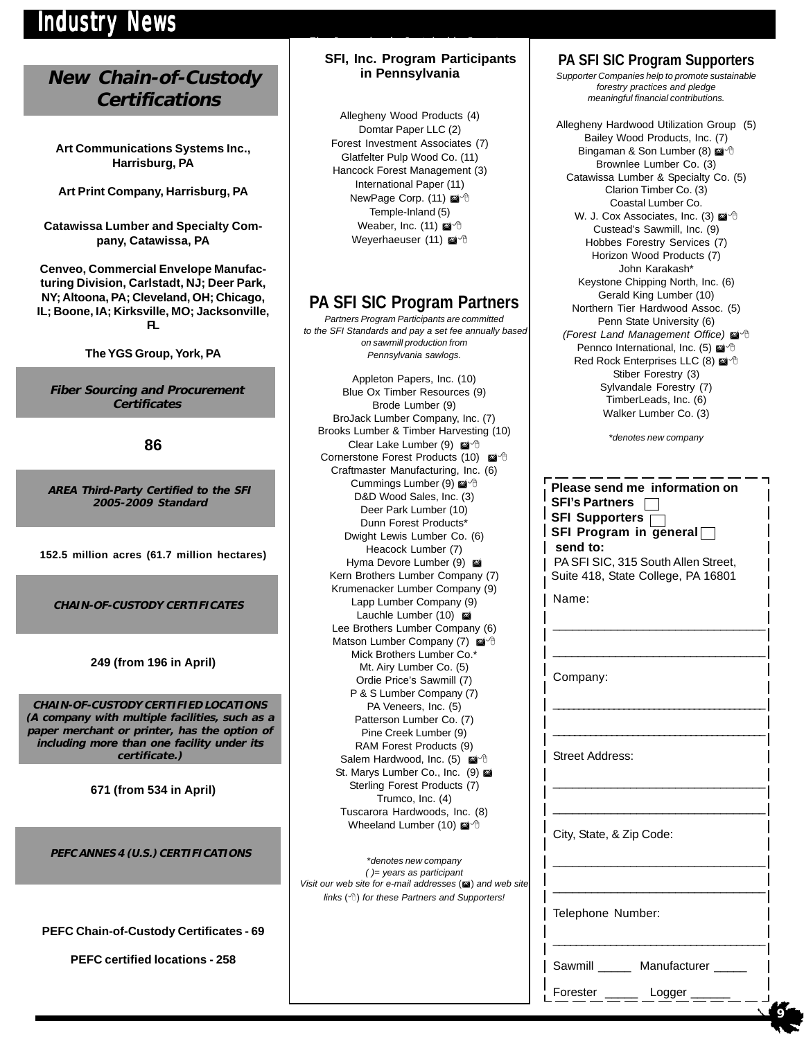# Industry News

## **New Chain-of-Custody Certifications**

**Art Communications Systems Inc., Harrisburg, PA**

**Art Print Company, Harrisburg, PA**

**Catawissa Lumber and Specialty Company, Catawissa, PA**

**Cenveo, Commercial Envelope Manufacturing Division, Carlstadt, NJ; Deer Park, NY; Altoona, PA; Cleveland, OH; Chicago, IL; Boone, IA; Kirksville, MO; Jacksonville, FL**

### **The YGS Group, York, PA**

**Fiber Sourcing and Procurement Certificates**

**86**

**AREA Third-Party Certified to the SFI 2005-2009 Standard**

**152.5 million acres (61.7 million hectares)**

**CHAIN-OF-CUSTODY CERTIFICATES**

#### **249 (from 196 in April)**

**CHAIN-OF-CUSTODY CERTIFIED LOCATIONS (A company with multiple facilities, such as a paper merchant or printer, has the option of including more than one facility under its certificate.)**

**671 (from 534 in April)**

**PEFC ANNES 4 (U.S.) CERTIFICATIONS**

**PEFC Chain-of-Custody Certificates - 69**

**PEFC certified locations - 258**

### **SFI, Inc. Program Participants in Pennsylvania**

Allegheny Wood Products (4) Domtar Paper LLC (2) Forest Investment Associates (7) Glatfelter Pulp Wood Co. (11) Hancock Forest Management (3) International Paper (11) NewPage Corp. (11)  $\mathbb{Z}$ <sup>4</sup> Temple-Inland (5) Weaber, Inc. (11) 24 <sup>6</sup> Weyerhaeuser (11) @<sup>4</sup>

## **PA SFI SIC Program Partners**

*Partners Program Participants are committed to the SFI Standards and pay a set fee annually based on sawmill production from Pennsylvania sawlogs.*

Appleton Papers, Inc. (10) Blue Ox Timber Resources (9) Brode Lumber (9) BroJack Lumber Company, Inc. (7) Brooks Lumber & Timber Harvesting (10) Clear Lake Lumber (9) @<sup>-</sup> Cornerstone Forest Products (10) Craftmaster Manufacturing, Inc. (6) Cummings Lumber (9) @ <sup>+</sup> D&D Wood Sales, Inc. (3) Deer Park Lumber (10) Dunn Forest Products\* Dwight Lewis Lumber Co. (6) Heacock Lumber (7) Hyma Devore Lumber (9) Kern Brothers Lumber Company (7) Krumenacker Lumber Company (9) Lapp Lumber Company (9) Lauchle Lumber (10) Lee Brothers Lumber Company (6) Matson Lumber Company (7) Mick Brothers Lumber Co.\* Mt. Airy Lumber Co. (5) Ordie Price's Sawmill (7) P & S Lumber Company (7) PA Veneers, Inc. (5) Patterson Lumber Co. (7) Pine Creek Lumber (9) RAM Forest Products (9) Salem Hardwood, Inc. (5) St. Marys Lumber Co., Inc. (9) Sterling Forest Products (7) Trumco, Inc. (4) Tuscarora Hardwoods, Inc. (8) Wheeland Lumber (10)  $\blacksquare$ 

\**denotes new company ( )= years as participant Visit our web site for e-mail addresses* ( $\mathbb{Z}$ ) and web site *links* () *for these Partners and Supporters!*

### **PA SFI SIC Program Supporters**

*Supporter Companies help to promote sustainable forestry practices and pledge meaningful financial contributions.*

Allegheny Hardwood Utilization Group (5) Bailey Wood Products, Inc. (7) Bingaman & Son Lumber (8)  $\mathbb{Z}^4$ Brownlee Lumber Co. (3) Catawissa Lumber & Specialty Co. (5) Clarion Timber Co. (3) Coastal Lumber Co. W. J. Cox Associates, Inc. (3) @ <sup>+</sup> Custead's Sawmill, Inc. (9) Hobbes Forestry Services (7) Horizon Wood Products (7) John Karakash\* Keystone Chipping North, Inc. (6) Gerald King Lumber (10) Northern Tier Hardwood Assoc. (5) Penn State University (6) **(Forest Land Management Office)**  $\mathbb{Z}^4$ Pennco International, Inc. (5) Red Rock Enterprises LLC (8) @ <sup>+</sup> Stiber Forestry (3) Sylvandale Forestry (7) TimberLeads, Inc. (6) Walker Lumber Co. (3)

\**denotes new company*

| 5)                  | Please send me information on<br><b>SFI's Partners</b><br>SFI Supporters $\Box$<br>SFI Program in general $\Box$<br>send to: |
|---------------------|------------------------------------------------------------------------------------------------------------------------------|
| 7)<br>3)            | PA SFI SIC, 315 South Allen Street,<br>Suite 418, State College, PA 16801<br>Name:                                           |
| 5)<br>ħ             |                                                                                                                              |
|                     | Company:                                                                                                                     |
|                     | <b>Street Address:</b>                                                                                                       |
|                     | City, State, & Zip Code:                                                                                                     |
| I web sitel<br>ers! | Telephone Number:                                                                                                            |
|                     | Sawmill Manufacturer<br>Forester<br>Logger                                                                                   |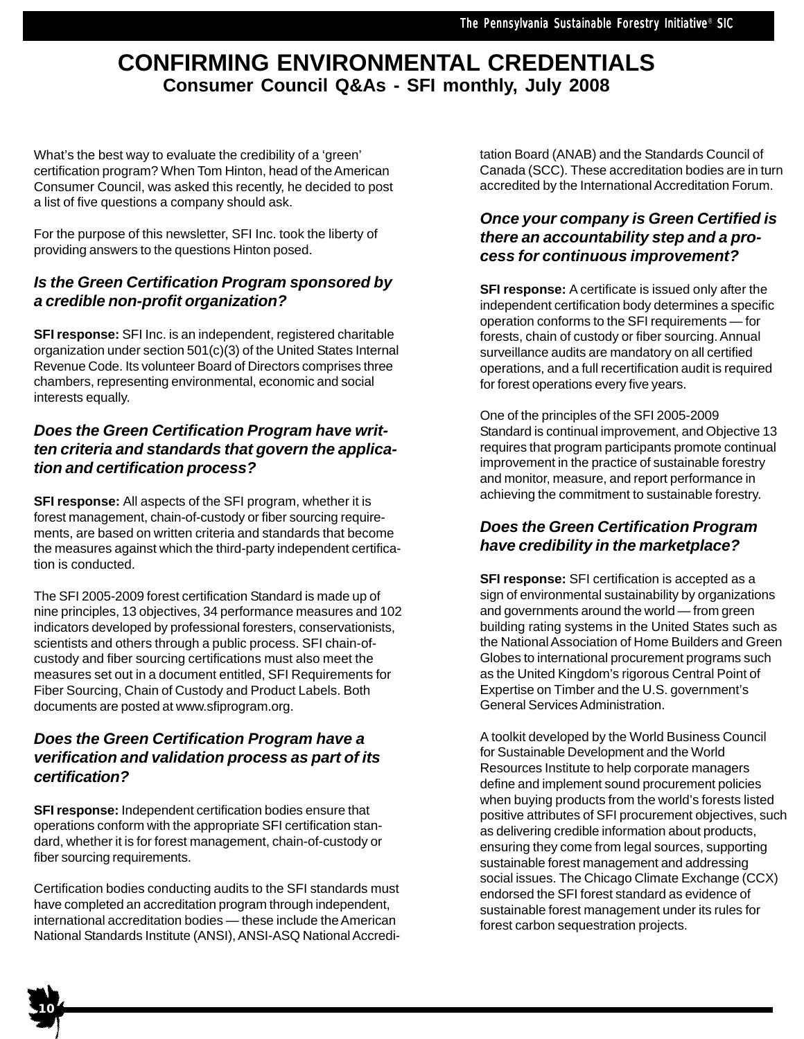## **CONFIRMING ENVIRONMENTAL CREDENTIALS Consumer Council Q&As - SFI monthly, July 2008**

What's the best way to evaluate the credibility of a 'green' certification program? When Tom Hinton, head of the American Consumer Council, was asked this recently, he decided to post a list of five questions a company should ask.

For the purpose of this newsletter, SFI Inc. took the liberty of providing answers to the questions Hinton posed.

## *Is the Green Certification Program sponsored by a credible non-profit organization?*

**SFI response:** SFI Inc. is an independent, registered charitable organization under section 501(c)(3) of the United States Internal Revenue Code. Its volunteer Board of Directors comprises three chambers, representing environmental, economic and social interests equally.

## *Does the Green Certification Program have written criteria and standards that govern the application and certification process?*

**SFI response:** All aspects of the SFI program, whether it is forest management, chain-of-custody or fiber sourcing requirements, are based on written criteria and standards that become the measures against which the third-party independent certification is conducted.

The SFI 2005-2009 forest certification Standard is made up of nine principles, 13 objectives, 34 performance measures and 102 indicators developed by professional foresters, conservationists, scientists and others through a public process. SFI chain-ofcustody and fiber sourcing certifications must also meet the measures set out in a document entitled, SFI Requirements for Fiber Sourcing, Chain of Custody and Product Labels. Both documents are posted at www.sfiprogram.org.

## *Does the Green Certification Program have a verification and validation process as part of its certification?*

**SFI response:** Independent certification bodies ensure that operations conform with the appropriate SFI certification standard, whether it is for forest management, chain-of-custody or fiber sourcing requirements.

Certification bodies conducting audits to the SFI standards must have completed an accreditation program through independent, international accreditation bodies — these include the American National Standards Institute (ANSI), ANSI-ASQ National Accredi-

**10**

tation Board (ANAB) and the Standards Council of Canada (SCC). These accreditation bodies are in turn accredited by the International Accreditation Forum.

## *Once your company is Green Certified is there an accountability step and a process for continuous improvement?*

**SFI response:** A certificate is issued only after the independent certification body determines a specific operation conforms to the SFI requirements — for forests, chain of custody or fiber sourcing. Annual surveillance audits are mandatory on all certified operations, and a full recertification audit is required for forest operations every five years.

One of the principles of the SFI 2005-2009 Standard is continual improvement, and Objective 13 requires that program participants promote continual improvement in the practice of sustainable forestry and monitor, measure, and report performance in achieving the commitment to sustainable forestry.

## *Does the Green Certification Program have credibility in the marketplace?*

**SFI response:** SFI certification is accepted as a sign of environmental sustainability by organizations and governments around the world — from green building rating systems in the United States such as the National Association of Home Builders and Green Globes to international procurement programs such as the United Kingdom's rigorous Central Point of Expertise on Timber and the U.S. government's General Services Administration.

A toolkit developed by the World Business Council for Sustainable Development and the World Resources Institute to help corporate managers define and implement sound procurement policies when buying products from the world's forests listed positive attributes of SFI procurement objectives, such as delivering credible information about products, ensuring they come from legal sources, supporting sustainable forest management and addressing social issues. The Chicago Climate Exchange (CCX) endorsed the SFI forest standard as evidence of sustainable forest management under its rules for forest carbon sequestration projects.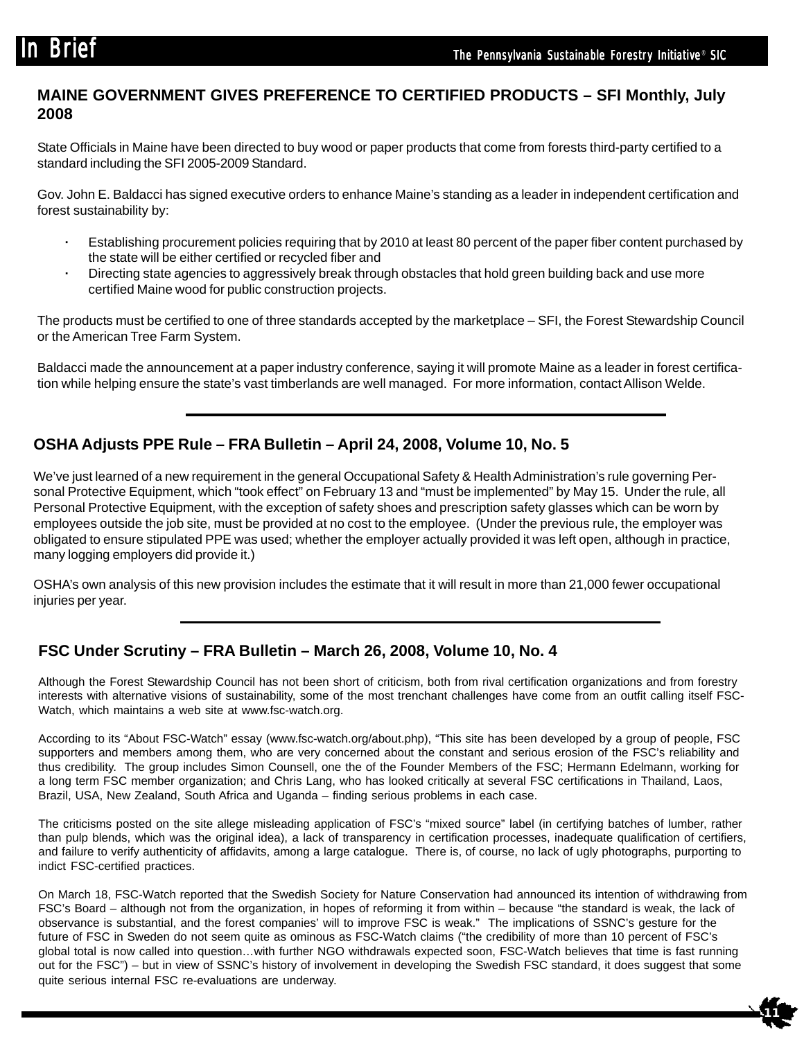**11**

## **MAINE GOVERNMENT GIVES PREFERENCE TO CERTIFIED PRODUCTS – SFI Monthly, July 2008**

State Officials in Maine have been directed to buy wood or paper products that come from forests third-party certified to a standard including the SFI 2005-2009 Standard.

Gov. John E. Baldacci has signed executive orders to enhance Maine's standing as a leader in independent certification and forest sustainability by:

- **·** Establishing procurement policies requiring that by 2010 at least 80 percent of the paper fiber content purchased by the state will be either certified or recycled fiber and
- **·** Directing state agencies to aggressively break through obstacles that hold green building back and use more certified Maine wood for public construction projects.

The products must be certified to one of three standards accepted by the marketplace – SFI, the Forest Stewardship Council or the American Tree Farm System.

Baldacci made the announcement at a paper industry conference, saying it will promote Maine as a leader in forest certification while helping ensure the state's vast timberlands are well managed. For more information, contact Allison Welde.

## **OSHA Adjusts PPE Rule – FRA Bulletin – April 24, 2008, Volume 10, No. 5**

We've just learned of a new requirement in the general Occupational Safety & Health Administration's rule governing Personal Protective Equipment, which "took effect" on February 13 and "must be implemented" by May 15. Under the rule, all Personal Protective Equipment, with the exception of safety shoes and prescription safety glasses which can be worn by employees outside the job site, must be provided at no cost to the employee. (Under the previous rule, the employer was obligated to ensure stipulated PPE was used; whether the employer actually provided it was left open, although in practice, many logging employers did provide it.)

OSHA's own analysis of this new provision includes the estimate that it will result in more than 21,000 fewer occupational injuries per year.

## **FSC Under Scrutiny – FRA Bulletin – March 26, 2008, Volume 10, No. 4**

Although the Forest Stewardship Council has not been short of criticism, both from rival certification organizations and from forestry interests with alternative visions of sustainability, some of the most trenchant challenges have come from an outfit calling itself FSC-Watch, which maintains a web site at www.fsc-watch.org.

According to its "About FSC-Watch" essay (www.fsc-watch.org/about.php), "This site has been developed by a group of people, FSC supporters and members among them, who are very concerned about the constant and serious erosion of the FSC's reliability and thus credibility. The group includes Simon Counsell, one the of the Founder Members of the FSC; Hermann Edelmann, working for a long term FSC member organization; and Chris Lang, who has looked critically at several FSC certifications in Thailand, Laos, Brazil, USA, New Zealand, South Africa and Uganda – finding serious problems in each case.

The criticisms posted on the site allege misleading application of FSC's "mixed source" label (in certifying batches of lumber, rather than pulp blends, which was the original idea), a lack of transparency in certification processes, inadequate qualification of certifiers, and failure to verify authenticity of affidavits, among a large catalogue. There is, of course, no lack of ugly photographs, purporting to indict FSC-certified practices.

On March 18, FSC-Watch reported that the Swedish Society for Nature Conservation had announced its intention of withdrawing from FSC's Board – although not from the organization, in hopes of reforming it from within – because "the standard is weak, the lack of observance is substantial, and the forest companies' will to improve FSC is weak." The implications of SSNC's gesture for the future of FSC in Sweden do not seem quite as ominous as FSC-Watch claims ("the credibility of more than 10 percent of FSC's global total is now called into question…with further NGO withdrawals expected soon, FSC-Watch believes that time is fast running out for the FSC") – but in view of SSNC's history of involvement in developing the Swedish FSC standard, it does suggest that some quite serious internal FSC re-evaluations are underway.